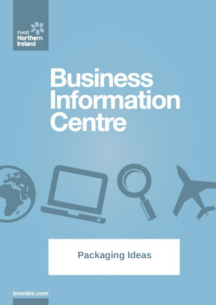

# **Business**<br>Information Centre

## **Packaging Ideas**

investni.com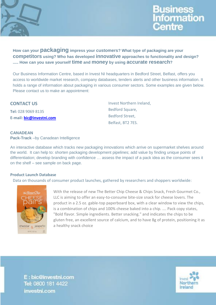



**How can your packaging impress your customers? What type of packaging are your competitors using? Who has developed innovative approaches to functionality and design? ..... How can you save yourself time and money by using accurate research?**

Our Business Information Centre, based in Invest NI headquarters in Bedford Street, Belfast, offers you access to worldwide market research, company databases, tenders alerts and other business information. It holds a range of information about packaging in various consumer sectors. Some examples are given below. Please contact us to make an appointment:

#### **CONTACT US**

**Tel:** 028 9069 8135 **E-mail: [bic@investni.com](mailto:bic@investni.com)** Bedford Square, Bedford Street, Belfast, BT2 7ES.

Invest Northern Ireland,

#### **CANADEAN**

**Pack-Track** –by Canadean Intelligence

An interactive database which tracks new packaging innovations which arrive on supermarket shelves around the world. It can help to: shorten packaging development pipelines; add value by finding unique points of differentiation; develop branding with confidence … assess the impact of a pack idea as the consumer sees it on the shelf – see sample on back page.

#### **Product Launch Database**

Data on thousands of consumer product launches, gathered by researchers and shoppers worldwide:



With the release of new The Better Chip Cheese & Chips Snack, Fresh Gourmet Co., LLC is aiming to offer an easy-to-consume bite-size snack for cheese lovers. The product in a 2.5 oz. gable-top paperboard box, with a clear window to view the chips, is a combination of chips and 100% cheese baked into a chip. …. Pack copy states, "Bold flavor. Simple ingredients. Better snacking." and indicates the chips to be gluten free, an excellent source of calcium, and to have 8g of protein, positioning it as a healthy snack choice

E: bic@investni.com Tel: 0800 181 4422 investni.com

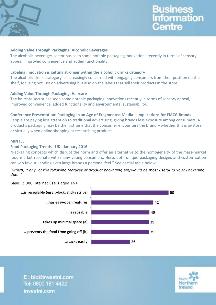

### **Business** nformation Centre

#### **Adding Value Through Packaging: Alcoholic Beverages**

The alcoholic beverages sector has seen some notable packaging innovations recently in terms of sensory appeal, improved convenience and added functionality.

#### **Labeling innovation is getting stronger within the alcoholic drinks category**

The alcoholic drinks category is increasingly concerned with engaging consumers from their position on the shelf, focusing not just on advertising but also on the labels that sell their products in the store.

#### **Adding Value Through Packaging: Haircare**

The haircare sector has seen some notable packaging innovations recently in terms of sensory appeal, improved convenience, added functionality and environmental sustainability.

#### **Conference Presentation: Packaging in an Age of Fragmented Media – Implications for FMCG Brands**

People are paying less attention to traditional advertising, giving brands less exposure among consumers. A product's packaging may be the first time that the consumer encounters the brand – whether this is in-store or virtually when online shopping or researching products.

#### **MINTEL**

#### **Food Packaging Trends - UK - January 2016**

"Packaging concepts which disrupt the norm and offer an alternative to the homogeneity of the mass-market food market resonate with many young consumers. Here, both unique packaging designs and customisation can win favour, lending even large brands a personal feel." See partial table below

*"Which, if any, of the following features of product packaging are/would be most useful to you? Packaging that…"*

#### Base: 2,000 internet users aged 16+